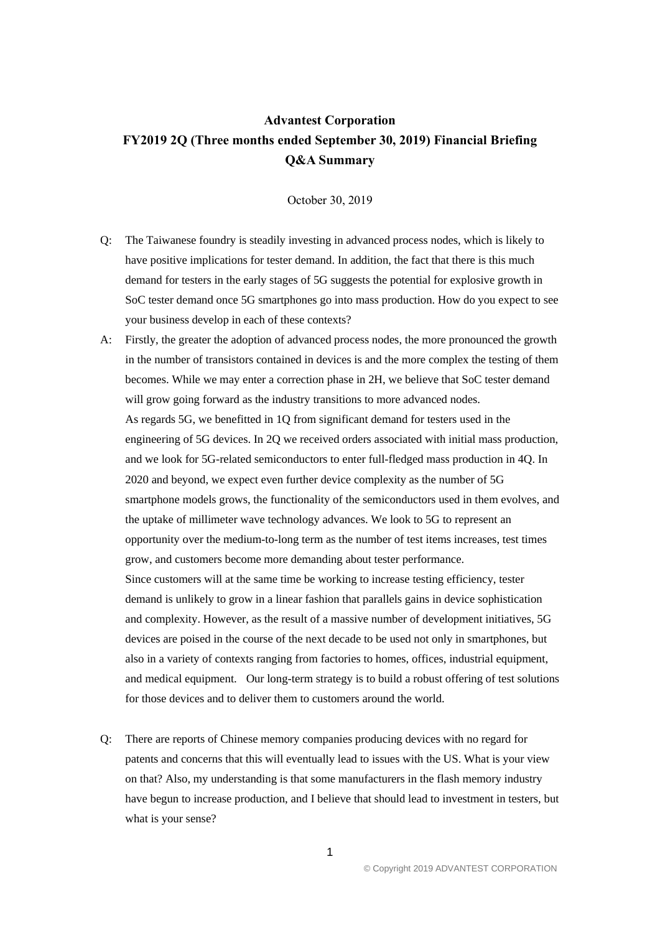## **Advantest Corporation FY2019 2Q (Three months ended September 30, 2019) Financial Briefing Q&A Summary**

October 30, 2019

- Q: The Taiwanese foundry is steadily investing in advanced process nodes, which is likely to have positive implications for tester demand. In addition, the fact that there is this much demand for testers in the early stages of 5G suggests the potential for explosive growth in SoC tester demand once 5G smartphones go into mass production. How do you expect to see your business develop in each of these contexts?
- A: Firstly, the greater the adoption of advanced process nodes, the more pronounced the growth in the number of transistors contained in devices is and the more complex the testing of them becomes. While we may enter a correction phase in 2H, we believe that SoC tester demand will grow going forward as the industry transitions to more advanced nodes. As regards 5G, we benefitted in 1Q from significant demand for testers used in the engineering of 5G devices. In 2Q we received orders associated with initial mass production, and we look for 5G-related semiconductors to enter full-fledged mass production in 4Q. In 2020 and beyond, we expect even further device complexity as the number of 5G smartphone models grows, the functionality of the semiconductors used in them evolves, and the uptake of millimeter wave technology advances. We look to 5G to represent an opportunity over the medium-to-long term as the number of test items increases, test times grow, and customers become more demanding about tester performance. Since customers will at the same time be working to increase testing efficiency, tester demand is unlikely to grow in a linear fashion that parallels gains in device sophistication and complexity. However, as the result of a massive number of development initiatives, 5G devices are poised in the course of the next decade to be used not only in smartphones, but also in a variety of contexts ranging from factories to homes, offices, industrial equipment, and medical equipment. Our long-term strategy is to build a robust offering of test solutions for those devices and to deliver them to customers around the world.
- Q: There are reports of Chinese memory companies producing devices with no regard for patents and concerns that this will eventually lead to issues with the US. What is your view on that? Also, my understanding is that some manufacturers in the flash memory industry have begun to increase production, and I believe that should lead to investment in testers, but what is your sense?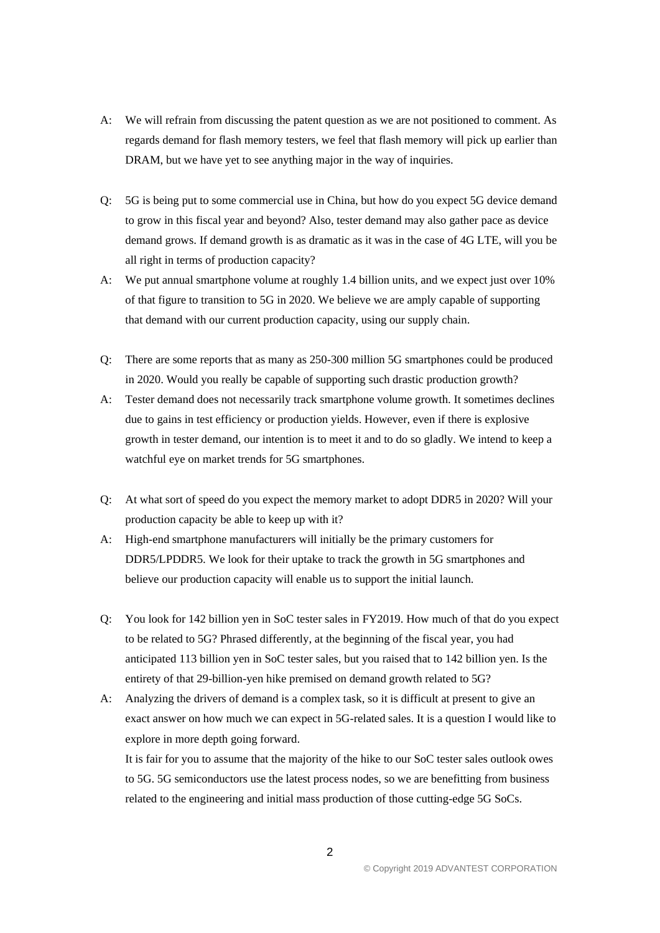- A: We will refrain from discussing the patent question as we are not positioned to comment. As regards demand for flash memory testers, we feel that flash memory will pick up earlier than DRAM, but we have yet to see anything major in the way of inquiries.
- Q: 5G is being put to some commercial use in China, but how do you expect 5G device demand to grow in this fiscal year and beyond? Also, tester demand may also gather pace as device demand grows. If demand growth is as dramatic as it was in the case of 4G LTE, will you be all right in terms of production capacity?
- A: We put annual smartphone volume at roughly 1.4 billion units, and we expect just over 10% of that figure to transition to 5G in 2020. We believe we are amply capable of supporting that demand with our current production capacity, using our supply chain.
- Q: There are some reports that as many as 250-300 million 5G smartphones could be produced in 2020. Would you really be capable of supporting such drastic production growth?
- A: Tester demand does not necessarily track smartphone volume growth. It sometimes declines due to gains in test efficiency or production yields. However, even if there is explosive growth in tester demand, our intention is to meet it and to do so gladly. We intend to keep a watchful eye on market trends for 5G smartphones.
- Q: At what sort of speed do you expect the memory market to adopt DDR5 in 2020? Will your production capacity be able to keep up with it?
- A: High-end smartphone manufacturers will initially be the primary customers for DDR5/LPDDR5. We look for their uptake to track the growth in 5G smartphones and believe our production capacity will enable us to support the initial launch.
- Q: You look for 142 billion yen in SoC tester sales in FY2019. How much of that do you expect to be related to 5G? Phrased differently, at the beginning of the fiscal year, you had anticipated 113 billion yen in SoC tester sales, but you raised that to 142 billion yen. Is the entirety of that 29-billion-yen hike premised on demand growth related to 5G?
- A: Analyzing the drivers of demand is a complex task, so it is difficult at present to give an exact answer on how much we can expect in 5G-related sales. It is a question I would like to explore in more depth going forward.

It is fair for you to assume that the majority of the hike to our SoC tester sales outlook owes to 5G. 5G semiconductors use the latest process nodes, so we are benefitting from business related to the engineering and initial mass production of those cutting-edge 5G SoCs.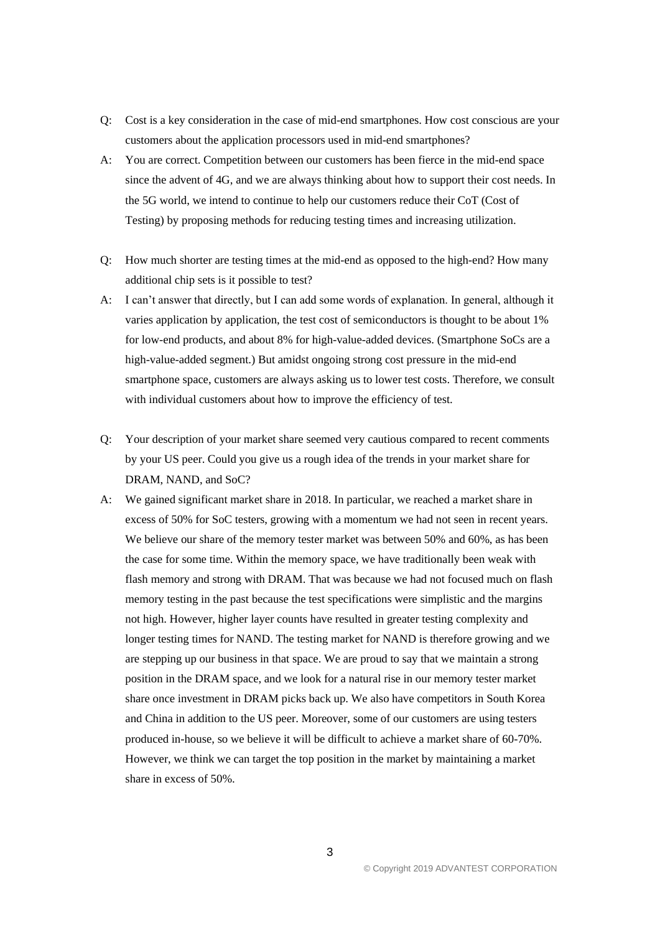- Q: Cost is a key consideration in the case of mid-end smartphones. How cost conscious are your customers about the application processors used in mid-end smartphones?
- A: You are correct. Competition between our customers has been fierce in the mid-end space since the advent of 4G, and we are always thinking about how to support their cost needs. In the 5G world, we intend to continue to help our customers reduce their CoT (Cost of Testing) by proposing methods for reducing testing times and increasing utilization.
- Q: How much shorter are testing times at the mid-end as opposed to the high-end? How many additional chip sets is it possible to test?
- A: I can't answer that directly, but I can add some words of explanation. In general, although it varies application by application, the test cost of semiconductors is thought to be about 1% for low-end products, and about 8% for high-value-added devices. (Smartphone SoCs are a high-value-added segment.) But amidst ongoing strong cost pressure in the mid-end smartphone space, customers are always asking us to lower test costs. Therefore, we consult with individual customers about how to improve the efficiency of test.
- Q: Your description of your market share seemed very cautious compared to recent comments by your US peer. Could you give us a rough idea of the trends in your market share for DRAM, NAND, and SoC?
- A: We gained significant market share in 2018. In particular, we reached a market share in excess of 50% for SoC testers, growing with a momentum we had not seen in recent years. We believe our share of the memory tester market was between 50% and 60%, as has been the case for some time. Within the memory space, we have traditionally been weak with flash memory and strong with DRAM. That was because we had not focused much on flash memory testing in the past because the test specifications were simplistic and the margins not high. However, higher layer counts have resulted in greater testing complexity and longer testing times for NAND. The testing market for NAND is therefore growing and we are stepping up our business in that space. We are proud to say that we maintain a strong position in the DRAM space, and we look for a natural rise in our memory tester market share once investment in DRAM picks back up. We also have competitors in South Korea and China in addition to the US peer. Moreover, some of our customers are using testers produced in-house, so we believe it will be difficult to achieve a market share of 60-70%. However, we think we can target the top position in the market by maintaining a market share in excess of 50%.

3